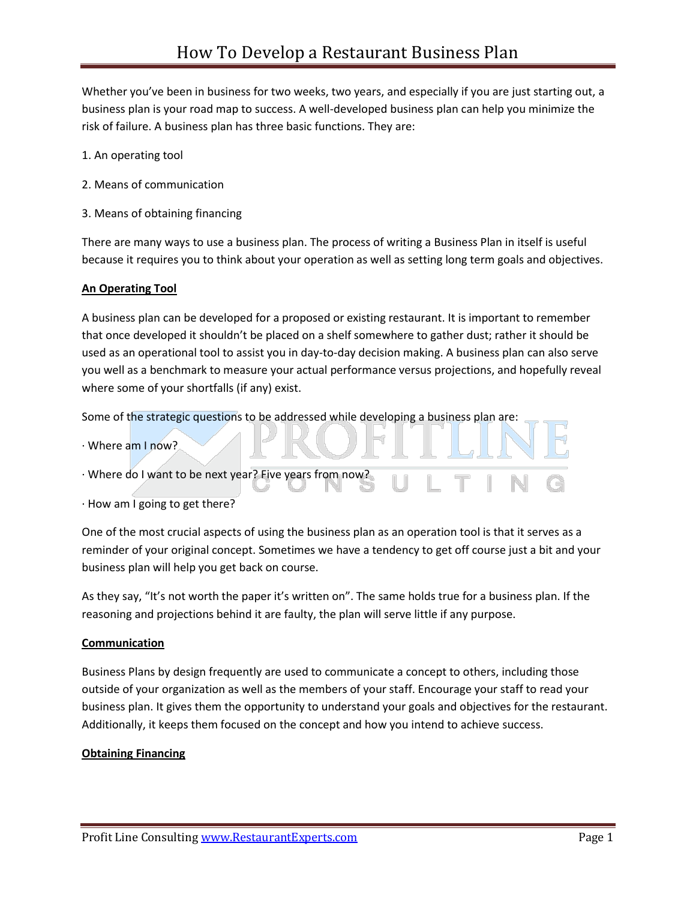Whether you've been in business for two weeks, two years, and especially if you are just starting out, a business plan is your road map to success. A well-developed business plan can help you minimize the risk of failure. A business plan has three basic functions. They are:

- 1. An operating tool
- 2. Means of communication
- 3. Means of obtaining financing

There are many ways to use a business plan. The process of writing a Business Plan in itself is useful because it requires you to think about your operation as well as setting long term goals and objectives.

## **An Operating Tool**

A business plan can be developed for a proposed or existing restaurant. It is important to remember that once developed it shouldn't be placed on a shelf somewhere to gather dust; rather it should be used as an operational tool to assist you in day-to-day decision making. A business plan can also serve you well as a benchmark to measure your actual performance versus projections, and hopefully reveal where some of your shortfalls (if any) exist.

Some of the strategic questions to be addressed while developing a business plan are:

- · Where am I now?
- · Where do I want to be next year? Five years from now?
- · How am I going to get there?

One of the most crucial aspects of using the business plan as an operation tool is that it serves as a reminder of your original concept. Sometimes we have a tendency to get off course just a bit and your business plan will help you get back on course.

As they say, "It's not worth the paper it's written on". The same holds true for a business plan. If the reasoning and projections behind it are faulty, the plan will serve little if any purpose.

## **Communication**

Business Plans by design frequently are used to communicate a concept to others, including those outside of your organization as well as the members of your staff. Encourage your staff to read your business plan. It gives them the opportunity to understand your goals and objectives for the restaurant. Additionally, it keeps them focused on the concept and how you intend to achieve success.

## **Obtaining Financing**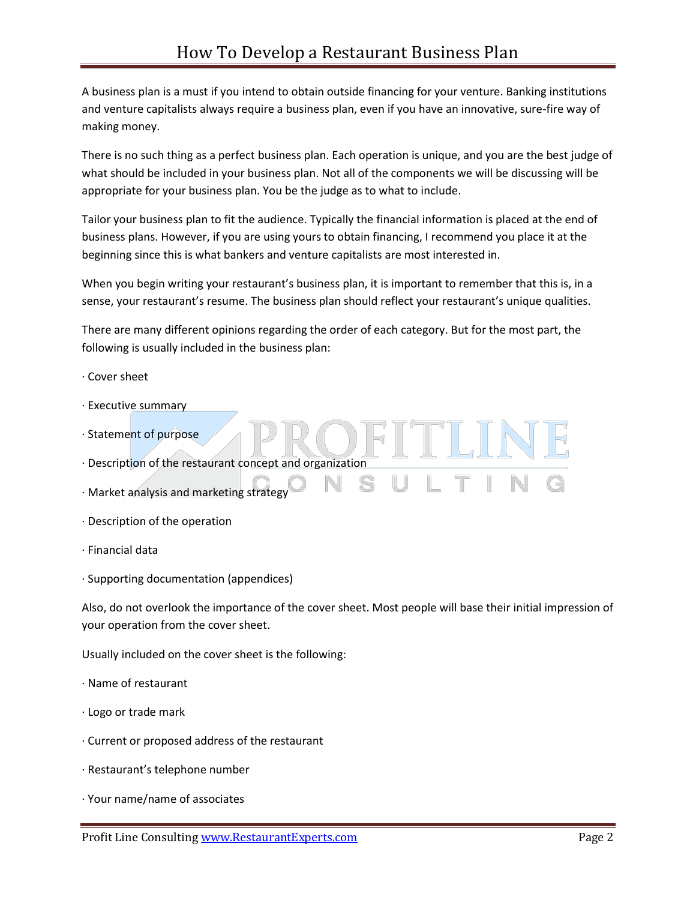A business plan is a must if you intend to obtain outside financing for your venture. Banking institutions and venture capitalists always require a business plan, even if you have an innovative, sure-fire way of making money.

There is no such thing as a perfect business plan. Each operation is unique, and you are the best judge of what should be included in your business plan. Not all of the components we will be discussing will be appropriate for your business plan. You be the judge as to what to include.

Tailor your business plan to fit the audience. Typically the financial information is placed at the end of business plans. However, if you are using yours to obtain financing, I recommend you place it at the beginning since this is what bankers and venture capitalists are most interested in.

When you begin writing your restaurant's business plan, it is important to remember that this is, in a sense, your restaurant's resume. The business plan should reflect your restaurant's unique qualities.

There are many different opinions regarding the order of each category. But for the most part, the following is usually included in the business plan:

- · Cover sheet
- · Executive summary
- · Statement of purpose
- · Description of the restaurant concept and organization
- · Market analysis and marketing strategy
- · Description of the operation
- · Financial data
- · Supporting documentation (appendices)

Also, do not overlook the importance of the cover sheet. Most people will base their initial impression of your operation from the cover sheet.

Usually included on the cover sheet is the following:

- · Name of restaurant
- · Logo or trade mark
- · Current or proposed address of the restaurant
- · Restaurant's telephone number
- · Your name/name of associates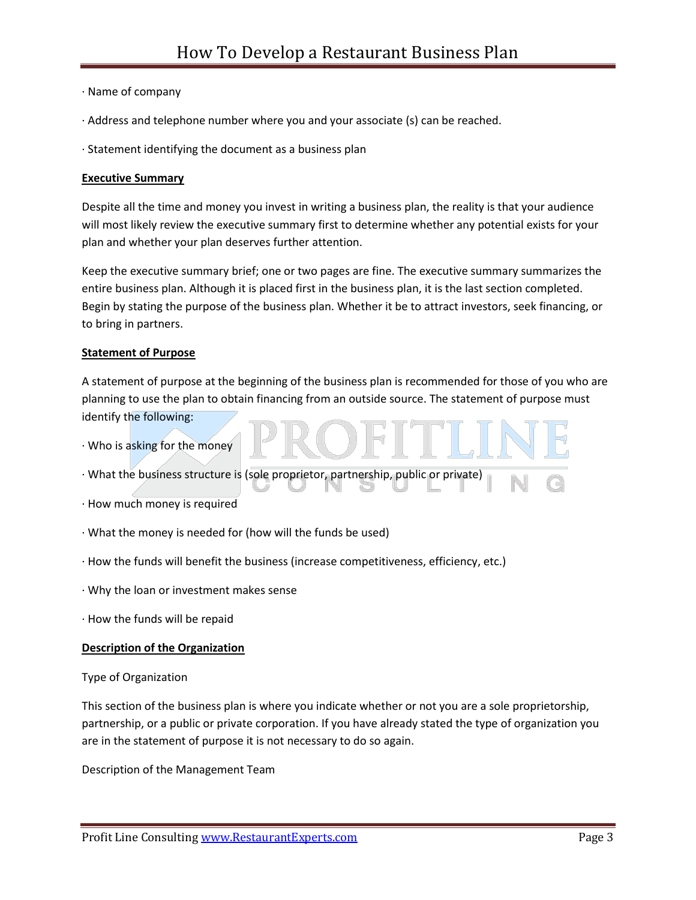- · Name of company
- · Address and telephone number where you and your associate (s) can be reached.
- · Statement identifying the document as a business plan

### **Executive Summary**

Despite all the time and money you invest in writing a business plan, the reality is that your audience will most likely review the executive summary first to determine whether any potential exists for your plan and whether your plan deserves further attention.

Keep the executive summary brief; one or two pages are fine. The executive summary summarizes the entire business plan. Although it is placed first in the business plan, it is the last section completed. Begin by stating the purpose of the business plan. Whether it be to attract investors, seek financing, or to bring in partners.

### **Statement of Purpose**

A statement of purpose at the beginning of the business plan is recommended for those of you who are planning to use the plan to obtain financing from an outside source. The statement of purpose must identify the following:

· Who is asking for the money

· What the business structure is (sole proprietor, partnership, public or private)

- · How much money is required
- · What the money is needed for (how will the funds be used)
- · How the funds will benefit the business (increase competitiveness, efficiency, etc.)
- · Why the loan or investment makes sense
- · How the funds will be repaid

#### **Description of the Organization**

Type of Organization

This section of the business plan is where you indicate whether or not you are a sole proprietorship, partnership, or a public or private corporation. If you have already stated the type of organization you are in the statement of purpose it is not necessary to do so again.

Description of the Management Team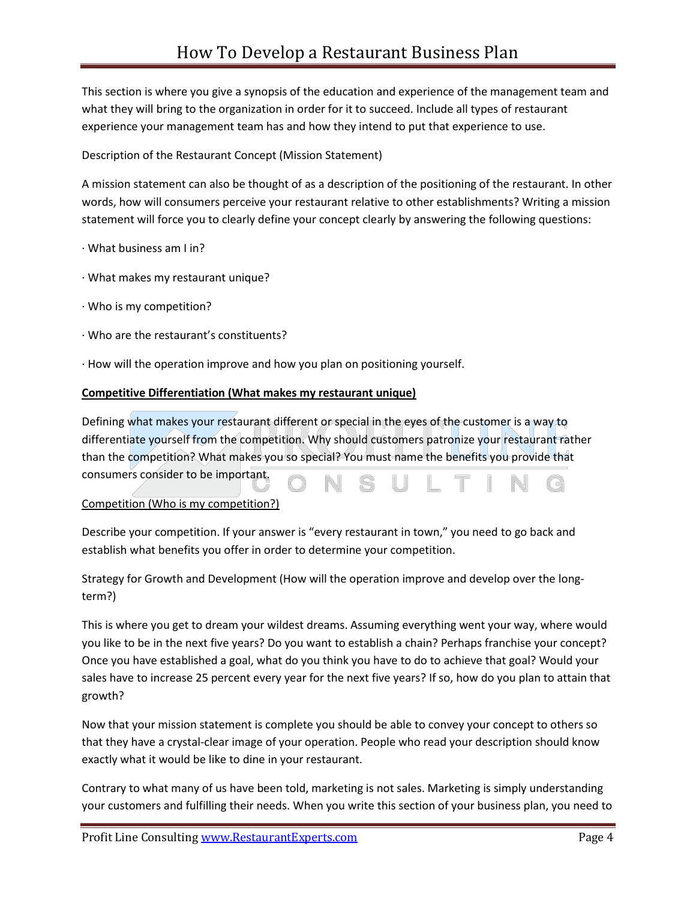This section is where you give a synopsis of the education and experience of the management team and what they will bring to the organization in order for it to succeed. Include all types of restaurant experience your management team has and how they intend to put that experience to use.

Description of the Restaurant Concept (Mission Statement)

A mission statement can also be thought of as a description of the positioning of the restaurant. In other words, how will consumers perceive your restaurant relative to other establishments? Writing a mission statement will force you to clearly define your concept clearly by answering the following questions:

- · What business am I in?
- · What makes my restaurant unique?
- · Who is my competition?
- · Who are the restaurant's constituents?
- · How will the operation improve and how you plan on positioning yourself.

## **Competitive Differentiation (What makes my restaurant unique)**

Defining what makes your restaurant different or special in the eyes of the customer is a way to differentiate yourself from the competition. Why should customers patronize your restaurant rather than the competition? What makes you so special? You must name the benefits you provide that consumers consider to be important. G

## Competition (Who is my competition?)

Describe your competition. If your answer is "every restaurant in town," you need to go back and establish what benefits you offer in order to determine your competition.

Strategy for Growth and Development (How will the operation improve and develop over the longterm?)

This is where you get to dream your wildest dreams. Assuming everything went your way, where would you like to be in the next five years? Do you want to establish a chain? Perhaps franchise your concept? Once you have established a goal, what do you think you have to do to achieve that goal? Would your sales have to increase 25 percent every year for the next five years? If so, how do you plan to attain that growth?

Now that your mission statement is complete you should be able to convey your concept to others so that they have a crystal-clear image of your operation. People who read your description should know exactly what it would be like to dine in your restaurant.

Contrary to what many of us have been told, marketing is not sales. Marketing is simply understanding your customers and fulfilling their needs. When you write this section of your business plan, you need to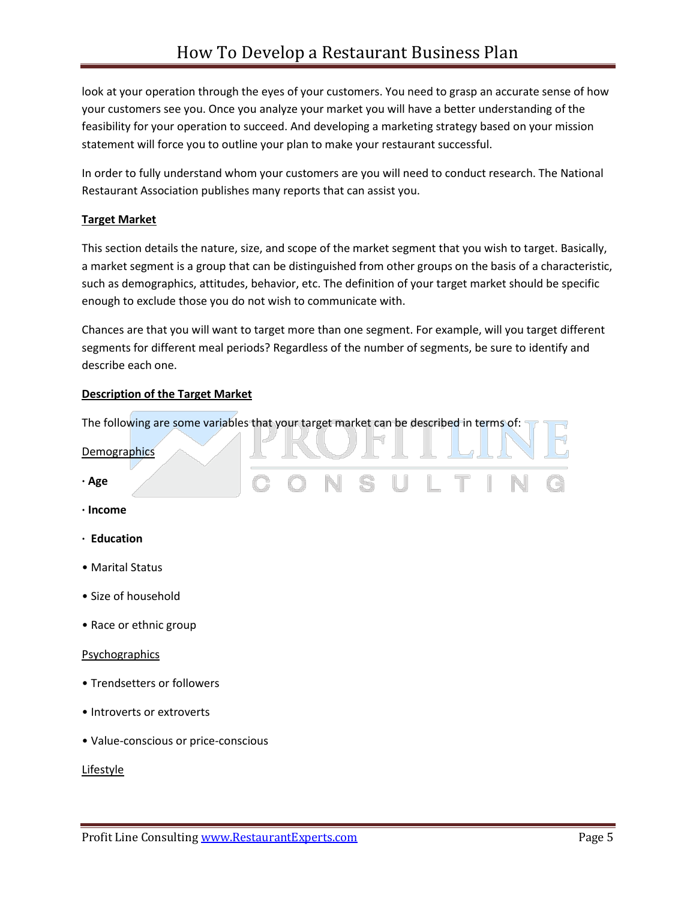look at your operation through the eyes of your customers. You need to grasp an accurate sense of how your customers see you. Once you analyze your market you will have a better understanding of the feasibility for your operation to succeed. And developing a marketing strategy based on your mission statement will force you to outline your plan to make your restaurant successful.

In order to fully understand whom your customers are you will need to conduct research. The National Restaurant Association publishes many reports that can assist you.

# **Target Market**

This section details the nature, size, and scope of the market segment that you wish to target. Basically, a market segment is a group that can be distinguished from other groups on the basis of a characteristic, such as demographics, attitudes, behavior, etc. The definition of your target market should be specific enough to exclude those you do not wish to communicate with.

Chances are that you will want to target more than one segment. For example, will you target different segments for different meal periods? Regardless of the number of segments, be sure to identify and describe each one.

. . .

. .

# **Description of the Target Market**

The following are some variables that your target market can be described in terms of: a se

| <b>Demographics</b>                  |  |         |  |  |   |
|--------------------------------------|--|---------|--|--|---|
| · Age                                |  | NSULTIN |  |  | G |
| $\cdot$ Income                       |  |         |  |  |   |
| · Education                          |  |         |  |  |   |
| • Marital Status                     |  |         |  |  |   |
| • Size of household                  |  |         |  |  |   |
| • Race or ethnic group               |  |         |  |  |   |
| Psychographics                       |  |         |  |  |   |
| • Trendsetters or followers          |  |         |  |  |   |
| • Introverts or extroverts           |  |         |  |  |   |
| · Value-conscious or price-conscious |  |         |  |  |   |

**Lifestyle**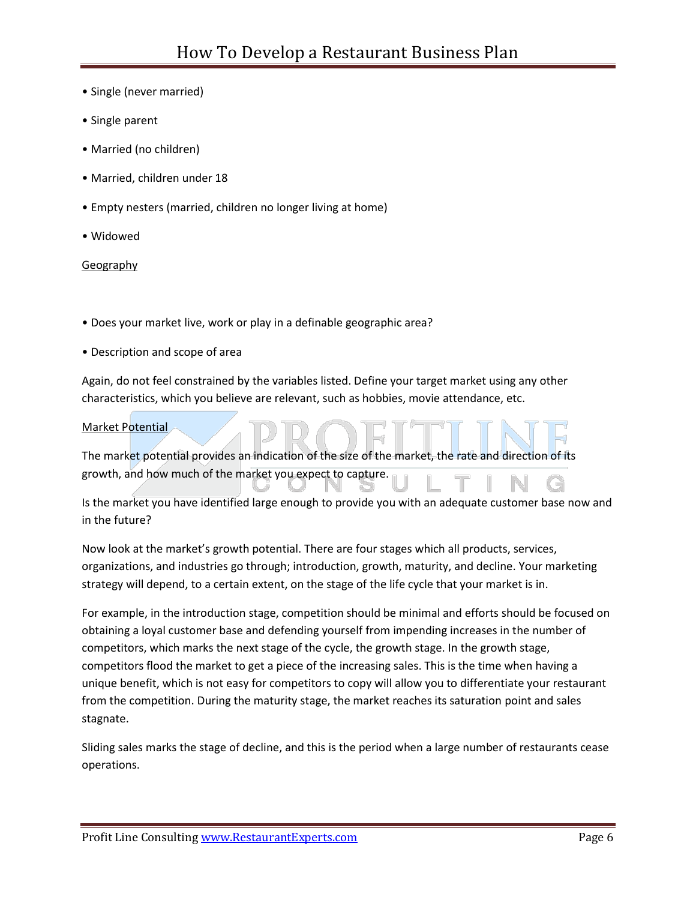- Single (never married)
- Single parent
- Married (no children)
- Married, children under 18
- Empty nesters (married, children no longer living at home)
- Widowed

### **Geography**

• Does your market live, work or play in a definable geographic area?

• Description and scope of area

Again, do not feel constrained by the variables listed. Define your target market using any other characteristics, which you believe are relevant, such as hobbies, movie attendance, etc.

### Market Potential

The market potential provides an indication of the size of the market, the rate and direction of its growth, and how much of the market you expect to capture.

Is the market you have identified large enough to provide you with an adequate customer base now and in the future?

Now look at the market's growth potential. There are four stages which all products, services, organizations, and industries go through; introduction, growth, maturity, and decline. Your marketing strategy will depend, to a certain extent, on the stage of the life cycle that your market is in.

For example, in the introduction stage, competition should be minimal and efforts should be focused on obtaining a loyal customer base and defending yourself from impending increases in the number of competitors, which marks the next stage of the cycle, the growth stage. In the growth stage, competitors flood the market to get a piece of the increasing sales. This is the time when having a unique benefit, which is not easy for competitors to copy will allow you to differentiate your restaurant from the competition. During the maturity stage, the market reaches its saturation point and sales stagnate.

Sliding sales marks the stage of decline, and this is the period when a large number of restaurants cease operations.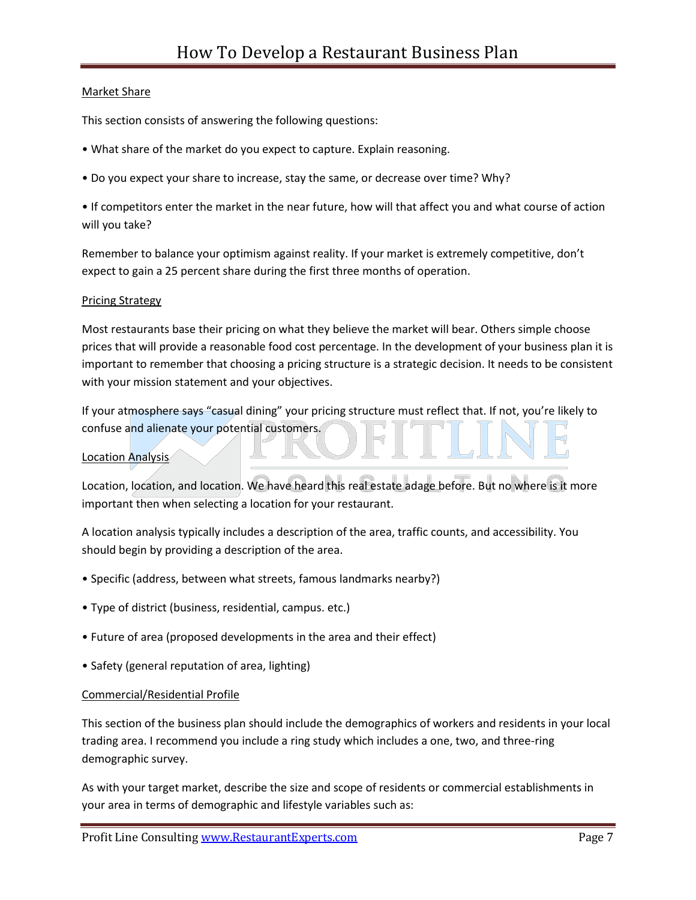# Market Share

This section consists of answering the following questions:

- What share of the market do you expect to capture. Explain reasoning.
- Do you expect your share to increase, stay the same, or decrease over time? Why?

• If competitors enter the market in the near future, how will that affect you and what course of action will you take?

Remember to balance your optimism against reality. If your market is extremely competitive, don't expect to gain a 25 percent share during the first three months of operation.

## Pricing Strategy

Most restaurants base their pricing on what they believe the market will bear. Others simple choose prices that will provide a reasonable food cost percentage. In the development of your business plan it is important to remember that choosing a pricing structure is a strategic decision. It needs to be consistent with your mission statement and your objectives.

If your atmosphere says "casual dining" your pricing structure must reflect that. If not, you're likely to confuse and alienate your potential customers.

## Location Analysis

Location, location, and location. We have heard this real estate adage before. But no where is it more important then when selecting a location for your restaurant.

A location analysis typically includes a description of the area, traffic counts, and accessibility. You should begin by providing a description of the area.

- Specific (address, between what streets, famous landmarks nearby?)
- Type of district (business, residential, campus. etc.)
- Future of area (proposed developments in the area and their effect)
- Safety (general reputation of area, lighting)

## Commercial/Residential Profile

This section of the business plan should include the demographics of workers and residents in your local trading area. I recommend you include a ring study which includes a one, two, and three-ring demographic survey.

As with your target market, describe the size and scope of residents or commercial establishments in your area in terms of demographic and lifestyle variables such as: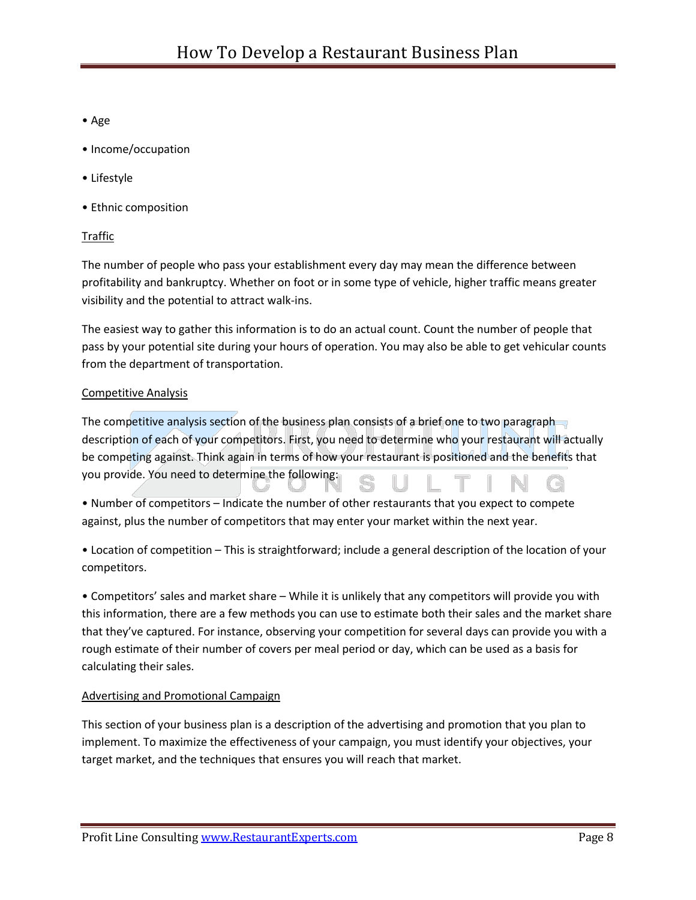- Age
- Income/occupation
- Lifestyle
- Ethnic composition

# Traffic

The number of people who pass your establishment every day may mean the difference between profitability and bankruptcy. Whether on foot or in some type of vehicle, higher traffic means greater visibility and the potential to attract walk-ins.

The easiest way to gather this information is to do an actual count. Count the number of people that pass by your potential site during your hours of operation. You may also be able to get vehicular counts from the department of transportation.

# Competitive Analysis

The competitive analysis section of the business plan consists of a brief one to two paragraph description of each of your competitors. First, you need to determine who your restaurant will actually be competing against. Think again in terms of how your restaurant is positioned and the benefits that you provide. You need to determine the following:

• Number of competitors – Indicate the number of other restaurants that you expect to compete against, plus the number of competitors that may enter your market within the next year.

• Location of competition – This is straightforward; include a general description of the location of your competitors.

• Competitors' sales and market share – While it is unlikely that any competitors will provide you with this information, there are a few methods you can use to estimate both their sales and the market share that they've captured. For instance, observing your competition for several days can provide you with a rough estimate of their number of covers per meal period or day, which can be used as a basis for calculating their sales.

## Advertising and Promotional Campaign

This section of your business plan is a description of the advertising and promotion that you plan to implement. To maximize the effectiveness of your campaign, you must identify your objectives, your target market, and the techniques that ensures you will reach that market.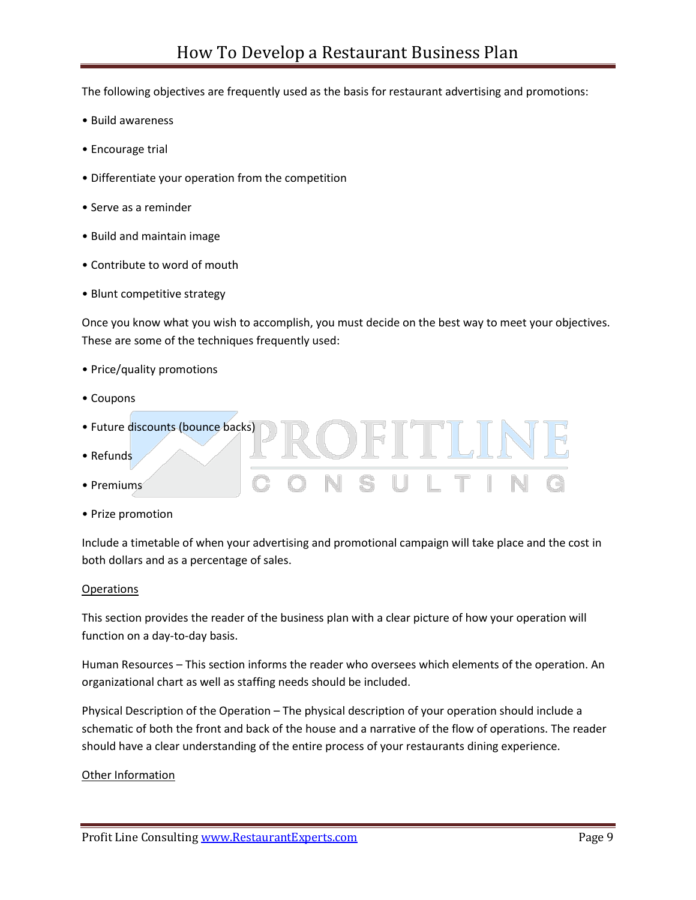The following objectives are frequently used as the basis for restaurant advertising and promotions:

- Build awareness
- Encourage trial
- Differentiate your operation from the competition
- Serve as a reminder
- Build and maintain image
- Contribute to word of mouth
- Blunt competitive strategy

Once you know what you wish to accomplish, you must decide on the best way to meet your objectives. These are some of the techniques frequently used:

**LOFITLINE** 

TIN

- Price/quality promotions
- Coupons
- Future discounts (bounce backs)
- Refunds
- Premiums
- Prize promotion

Include a timetable of when your advertising and promotional campaign will take place and the cost in both dollars and as a percentage of sales.

#### **Operations**

This section provides the reader of the business plan with a clear picture of how your operation will function on a day-to-day basis.

Human Resources – This section informs the reader who oversees which elements of the operation. An organizational chart as well as staffing needs should be included.

Physical Description of the Operation – The physical description of your operation should include a schematic of both the front and back of the house and a narrative of the flow of operations. The reader should have a clear understanding of the entire process of your restaurants dining experience.

#### Other Information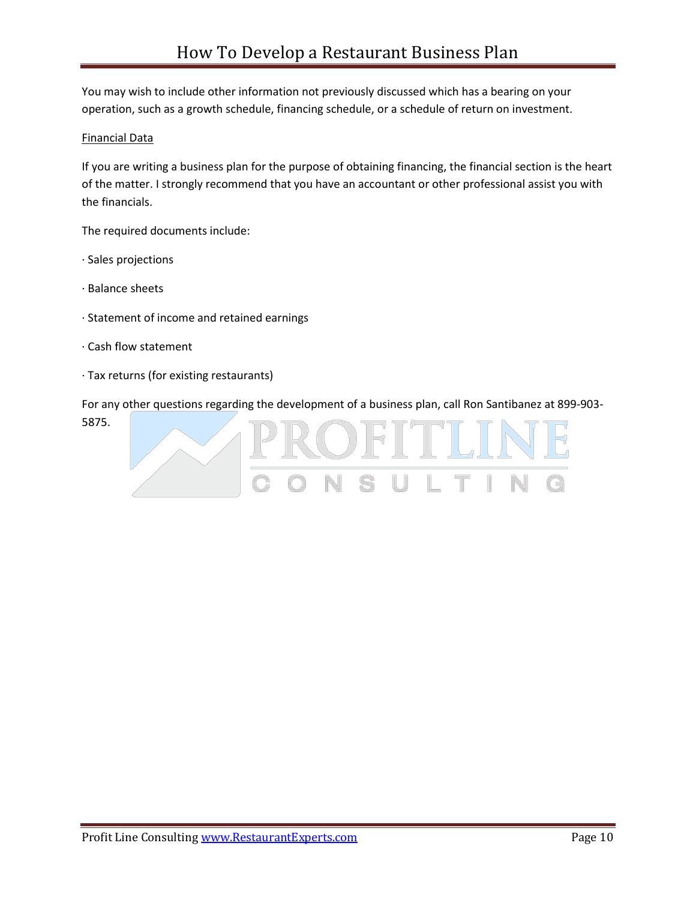You may wish to include other information not previously discussed which has a bearing on your operation, such as a growth schedule, financing schedule, or a schedule of return on investment.

# Financial Data

If you are writing a business plan for the purpose of obtaining financing, the financial section is the heart of the matter. I strongly recommend that you have an accountant or other professional assist you with the financials.

The required documents include:

- · Sales projections
- · Balance sheets
- · Statement of income and retained earnings
- · Cash flow statement
- · Tax returns (for existing restaurants)

For any other questions regarding the development of a business plan, call Ron Santibanez at 899-903- 5875.OFITLI